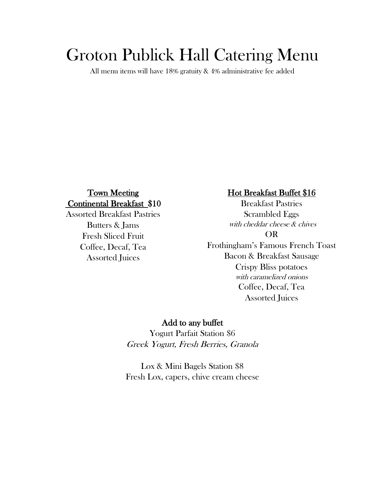# Groton Publick Hall Catering Menu

All menu items will have 18% gratuity & 4% administrative fee added

## Town Meeting Continental Breakfast \$10

Assorted Breakfast Pastries Butters & Jams Fresh Sliced Fruit Coffee, Decaf, Tea Assorted Juices

### Hot Breakfast Buffet \$16

Breakfast Pastries Scrambled Eggs with cheddar cheese & chives OR Frothingham's Famous French Toast

Bacon & Breakfast Sausage Crispy Bliss potatoes with caramelized onions Coffee, Decaf, Tea Assorted Juices

### Add to any buffet

Yogurt Parfait Station \$6 Greek Yogurt, Fresh Berries, Granola

Lox & Mini Bagels Station \$8 Fresh Lox, capers, chive cream cheese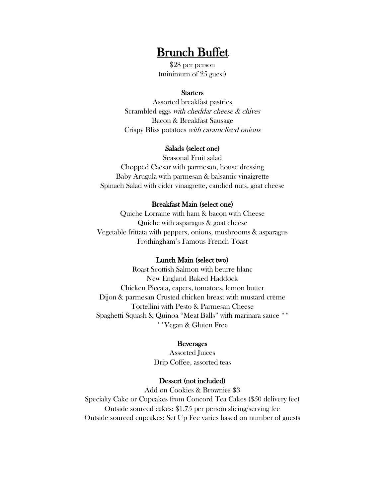## Brunch Buffet

\$28 per person (minimum of 25 guest)

#### **Starters**

Assorted breakfast pastries Scrambled eggs with cheddar cheese & chives Bacon & Breakfast Sausage Crispy Bliss potatoes with caramelized onions

#### Salads (select one)

Seasonal Fruit salad Chopped Caesar with parmesan, house dressing Baby Arugula with parmesan & balsamic vinaigrette Spinach Salad with cider vinaigrette, candied nuts, goat cheese

#### Breakfast Main (select one)

Quiche Lorraine with ham & bacon with Cheese Quiche with asparagus & goat cheese Vegetable frittata with peppers, onions, mushrooms & asparagus Frothingham's Famous French Toast

#### Lunch Main (select two)

Roast Scottish Salmon with beurre blanc New England Baked Haddock Chicken Piccata, capers, tomatoes, lemon butter Dijon & parmesan Crusted chicken breast with mustard crème Tortellini with Pesto & Parmesan Cheese Spaghetti Squash & Quinoa "Meat Balls" with marinara sauce \*\* \*\*Vegan & Gluten Free

#### **B**everages

Assorted Juices Drip Coffee, assorted teas

#### Dessert (not included)

Add on Cookies & Brownies \$3 Specialty Cake or Cupcakes from Concord Tea Cakes (\$50 delivery fee) Outside sourced cakes: \$1.75 per person slicing/serving fee Outside sourced cupcakes: Set Up Fee varies based on number of guests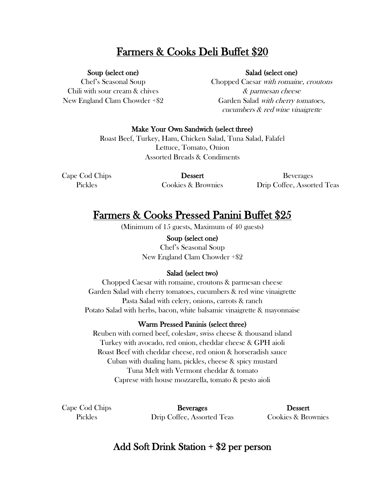## Farmers & Cooks Deli Buffet \$20

### Soup (select one)

Chef's Seasonal Soup Chili with sour cream & chives New England Clam Chowder +\$2

#### Salad (select one)

Chopped Caesar with romaine, croutons & parmesan cheese Garden Salad with cherry tomatoes, cucumbers & red wine vinaigrette

### Make Your Own Sandwich (select three)

Roast Beef, Turkey, Ham, Chicken Salad, Tuna Salad, Falafel Lettuce, Tomato, Onion Assorted Breads & Condiments

Cape Cod Chips Pickles

Dessert Cookies & Brownies

Beverages Drip Coffee, Assorted Teas

## Farmers & Cooks Pressed Panini Buffet \$25

(Minimum of 15 guests, Maximum of 40 guests)

Soup (select one) Chef's Seasonal Soup New England Clam Chowder +\$2

### Salad (select two)

Chopped Caesar with romaine, croutons & parmesan cheese Garden Salad with cherry tomatoes, cucumbers & red wine vinaigrette Pasta Salad with celery, onions, carrots & ranch Potato Salad with herbs, bacon, white balsamic vinaigrette & mayonnaise

### Warm Pressed Paninis (select three)

Reuben with corned beef, coleslaw, swiss cheese & thousand island Turkey with avocado, red onion, cheddar cheese & GPH aioli Roast Beef with cheddar cheese, red onion & horseradish sauce Cuban with dualing ham, pickles, cheese & spicy mustard Tuna Melt with Vermont cheddar & tomato Caprese with house mozzarella, tomato & pesto aioli

Cape Cod Chips Pickles

Beverages Drip Coffee, Assorted Teas

Dessert Cookies & Brownies

## Add Soft Drink Station + \$2 per person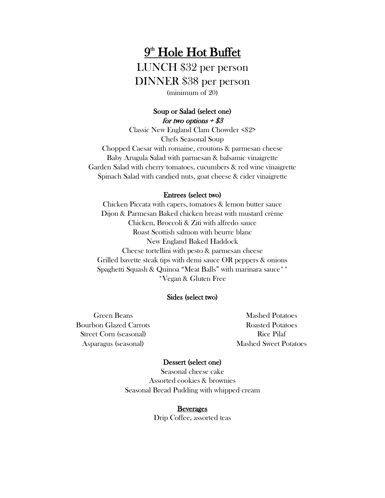## $9<sup>th</sup>$  Hole Hot Buffet LUNCH \$32 per person DINNER \$38 per person (minimum of 20)

### Soup or Salad (select one) for two options  $+$  \$3

Classic New England Clam Chowder <\$2> Chefs Seasonal Soup Chopped Caesar with romaine, croutons & parmesan cheese Baby Arugula Salad with parmesan & balsamic vinaigrette Garden Salad with cherry tomatoes, cucumbers & red wine vinaigrette Spinach Salad with candied nuts, goat cheese & cider vinaigrette

#### Entrees (select two)

Chicken Piccata with capers, tomatoes & lemon butter sauce Dijon & Parmesan Baked chicken breast with mustard crème Chicken, Broccoli & Ziti with alfredo sauce Roast Scottish salmon with beurre blanc New England Baked Haddock Cheese tortellini with pesto & parmesan cheese Grilled bavette steak tips with demi sauce OR peppers & onions Spaghetti Squash & Quinoa "Meat Balls" with marinara sauce<sup>\*\*</sup> \*Vegan & Gluten Free

#### Sides (select two)

Green Beans Bourbon Glazed Carrots Street Corn (seasonal) Asparagus (seasonal)

Mashed Potatoes Roasted Potatoes Rice Pilaf Mashed Sweet Potatoes

#### Dessert (select one)

Seasonal cheese cake Assorted cookies & brownies Seasonal Bread Pudding with whipped cream

> **B**everages Drip Coffee, assorted teas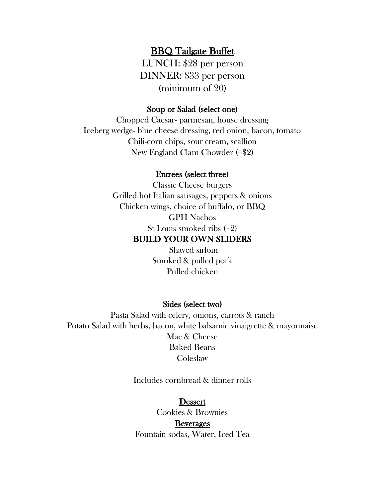## BBQ Tailgate Buffet

LUNCH: \$28 per person DINNER: \$33 per person (minimum of 20)

### Soup or Salad (select one)

Chopped Caesar- parmesan, house dressing Iceberg wedge- blue cheese dressing, red onion, bacon, tomato Chili-corn chips, sour cream, scallion New England Clam Chowder (+\$2)

### Entrees (select three)

Classic Cheese burgers Grilled hot Italian sausages, peppers & onions Chicken wings, choice of buffalo, or BBQ GPH Nachos St Louis smoked ribs (+2)

### BUILD YOUR OWN SLIDERS

Shaved sirloin Smoked & pulled pork Pulled chicken

#### Sides (select two)

Pasta Salad with celery, onions, carrots & ranch Potato Salad with herbs, bacon, white balsamic vinaigrette & mayonnaise Mac & Cheese Baked Beans Coleslaw

Includes cornbread & dinner rolls

### Dessert

Cookies & Brownies **B**everages Fountain sodas, Water, Iced Tea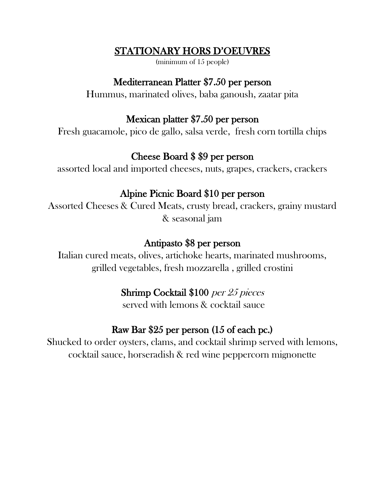## STATIONARY HORS D'OEUVRES

(minimum of 15 people)

## Mediterranean Platter \$7.50 per person

Hummus, marinated olives, baba ganoush, zaatar pita

## Mexican platter \$7.50 per person

Fresh guacamole, pico de gallo, salsa verde, fresh corn tortilla chips

## Cheese Board \$ \$9 per person

assorted local and imported cheeses, nuts, grapes, crackers, crackers

## Alpine Picnic Board \$10 per person

Assorted Cheeses & Cured Meats, crusty bread, crackers, grainy mustard & seasonal jam

## Antipasto \$8 per person

Italian cured meats, olives, artichoke hearts, marinated mushrooms, grilled vegetables, fresh mozzarella , grilled crostini

## Shrimp Cocktail \$100 per 25 pieces

served with lemons & cocktail sauce

## Raw Bar \$25 per person (15 of each pc.)

Shucked to order oysters, clams, and cocktail shrimp served with lemons, cocktail sauce, horseradish & red wine peppercorn mignonette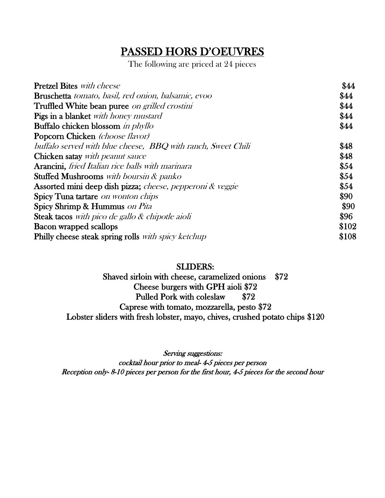## PASSED HORS D'OEUVRES

The following are priced at 24 pieces

| <b>Pretzel Bites</b> with cheese                             | \$44  |
|--------------------------------------------------------------|-------|
| <b>Bruschetta</b> tomato, basil, red onion, balsamic, evoo   | \$44  |
| Truffled White bean puree on grilled crostini                | \$44  |
| Pigs in a blanket with honey mustard                         | \$44  |
| Buffalo chicken blossom in phyllo                            | \$44  |
| <b>Popcorn Chicken</b> (choose flavor)                       |       |
| buffalo served with blue cheese, BBQ with ranch, Sweet Chili | \$48  |
| <b>Chicken satay</b> with peanut sauce                       | \$48  |
| Arancini, fried Italian rice balls with marinara             | \$54  |
| <b>Stuffed Mushrooms</b> with boursin & panko                | \$54  |
| Assorted mini deep dish pizza; cheese, pepperoni & veggie    | \$54  |
| Spicy Tuna tartare on wonton chips                           | \$90  |
| Spicy Shrimp & Hummus on Pita                                | \$90  |
| <b>Steak tacos</b> with pico de gallo $\&$ chipotle aioli    | \$96  |
| <b>Bacon wrapped scallops</b>                                | \$102 |
| Philly cheese steak spring rolls with spicy ketchup          | \$108 |

### SLIDERS:

Shaved sirloin with cheese, caramelized onions \$72 Cheese burgers with GPH aioli \$72 Pulled Pork with coleslaw \$72 Caprese with tomato, mozzarella, pesto \$72 Lobster sliders with fresh lobster, mayo, chives, crushed potato chips \$120

Serving suggestions: cocktail hour prior to meal- 4-5 pieces per person Reception only- 8-10 pieces per person for the first hour, 4-5 pieces for the second hour